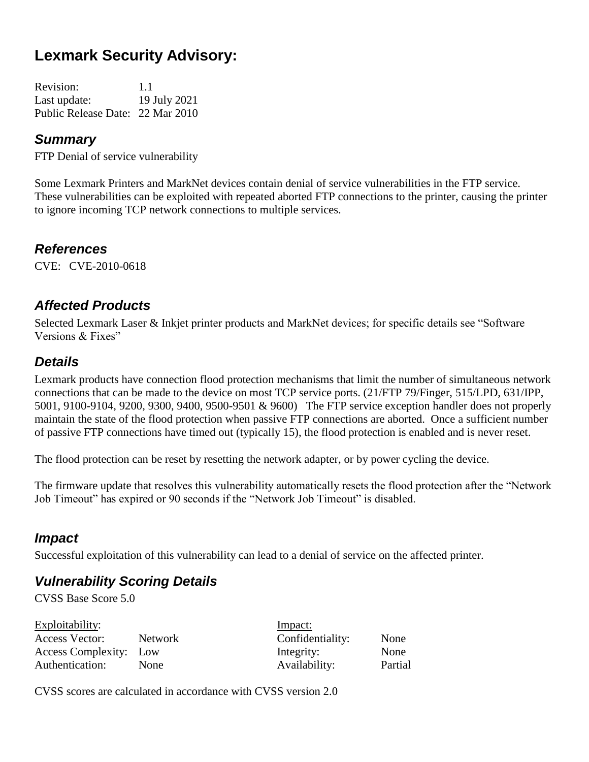# **Lexmark Security Advisory:**

| <b>Revision:</b>                 | 1.1          |
|----------------------------------|--------------|
| Last update:                     | 19 July 2021 |
| Public Release Date: 22 Mar 2010 |              |

#### *Summary*

FTP Denial of service vulnerability

Some Lexmark Printers and MarkNet devices contain denial of service vulnerabilities in the FTP service. These vulnerabilities can be exploited with repeated aborted FTP connections to the printer, causing the printer to ignore incoming TCP network connections to multiple services.

#### *References*

CVE: CVE-2010-0618

### *Affected Products*

Selected Lexmark Laser & Inkjet printer products and MarkNet devices; for specific details see "Software Versions & Fixes"

#### *Details*

Lexmark products have connection flood protection mechanisms that limit the number of simultaneous network connections that can be made to the device on most TCP service ports. (21/FTP 79/Finger, 515/LPD, 631/IPP, 5001, 9100-9104, 9200, 9300, 9400, 9500-9501 & 9600) The FTP service exception handler does not properly maintain the state of the flood protection when passive FTP connections are aborted. Once a sufficient number of passive FTP connections have timed out (typically 15), the flood protection is enabled and is never reset.

The flood protection can be reset by resetting the network adapter, or by power cycling the device.

The firmware update that resolves this vulnerability automatically resets the flood protection after the "Network Job Timeout" has expired or 90 seconds if the "Network Job Timeout" is disabled.

#### *Impact*

Successful exploitation of this vulnerability can lead to a denial of service on the affected printer.

### *Vulnerability Scoring Details*

CVSS Base Score 5.0

|                        | Impact:          |         |
|------------------------|------------------|---------|
| Network                | Confidentiality: | None    |
| Access Complexity: Low | Integrity:       | None    |
| None                   | Availability:    | Partial |
|                        |                  |         |

CVSS scores are calculated in accordance with CVSS version 2.0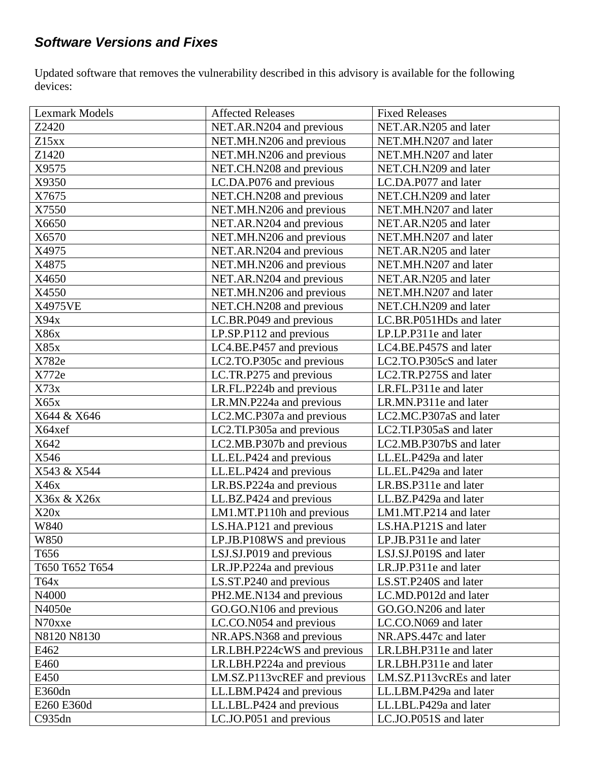# *Software Versions and Fixes*

Updated software that removes the vulnerability described in this advisory is available for the following devices:

| <b>Lexmark Models</b> | <b>Affected Releases</b>     | <b>Fixed Releases</b>     |
|-----------------------|------------------------------|---------------------------|
| Z2420                 | NET.AR.N204 and previous     | NET.AR.N205 and later     |
| Z15xx                 | NET.MH.N206 and previous     | NET.MH.N207 and later     |
| Z1420                 | NET.MH.N206 and previous     | NET.MH.N207 and later     |
| X9575                 | NET.CH.N208 and previous     | NET.CH.N209 and later     |
| X9350                 | LC.DA.P076 and previous      | LC.DA.P077 and later      |
| X7675                 | NET.CH.N208 and previous     | NET.CH.N209 and later     |
| X7550                 | NET.MH.N206 and previous     | NET.MH.N207 and later     |
| X6650                 | NET.AR.N204 and previous     | NET.AR.N205 and later     |
| X6570                 | NET.MH.N206 and previous     | NET.MH.N207 and later     |
| X4975                 | NET.AR.N204 and previous     | NET.AR.N205 and later     |
| X4875                 | NET.MH.N206 and previous     | NET.MH.N207 and later     |
| X4650                 | NET.AR.N204 and previous     | NET.AR.N205 and later     |
| X4550                 | NET.MH.N206 and previous     | NET.MH.N207 and later     |
| X4975VE               | NET.CH.N208 and previous     | NET.CH.N209 and later     |
| X94x                  | LC.BR.P049 and previous      | LC.BR.P051HDs and later   |
| X86x                  | LP.SP.P112 and previous      | LP.LP.P311e and later     |
| X85x                  | LC4.BE.P457 and previous     | LC4.BE.P457S and later    |
| X782e                 | LC2.TO.P305c and previous    | LC2.TO.P305cS and later   |
| X772e                 | LC.TR.P275 and previous      | LC2.TR.P275S and later    |
| X73x                  | LR.FL.P224b and previous     | LR.FL.P311e and later     |
| X65x                  | LR.MN.P224a and previous     | LR.MN.P311e and later     |
| X644 & X646           | LC2.MC.P307a and previous    | LC2.MC.P307aS and later   |
| X64xef                | LC2.TI.P305a and previous    | LC2.TI.P305aS and later   |
| X642                  | LC2.MB.P307b and previous    | LC2.MB.P307bS and later   |
| X546                  | LL.EL.P424 and previous      | LL.EL.P429a and later     |
| X543 & X544           | LL.EL.P424 and previous      | LL.EL.P429a and later     |
| X46x                  | LR.BS.P224a and previous     | LR.BS.P311e and later     |
| X36x & X26x           | LL.BZ.P424 and previous      | LL.BZ.P429a and later     |
| X20x                  | LM1.MT.P110h and previous    | LM1.MT.P214 and later     |
| W840                  | LS.HA.P121 and previous      | LS.HA.P121S and later     |
| W850                  | LP.JB.P108WS and previous    | LP.JB.P311e and later     |
| T656                  | LSJ.SJ.P019 and previous     | LSJ.SJ.P019S and later    |
| T650 T652 T654        | LR.JP.P224a and previous     | LR.JP.P311e and later     |
| T64x                  | LS.ST.P240 and previous      | LS.ST.P240S and later     |
| N4000                 | PH2.ME.N134 and previous     | LC.MD.P012d and later     |
| N4050e                | GO.GO.N106 and previous      | GO.GO.N206 and later      |
| N70xxe                | LC.CO.N054 and previous      | LC.CO.N069 and later      |
| N8120 N8130           | NR.APS.N368 and previous     | NR.APS.447c and later     |
| E462                  | LR.LBH.P224cWS and previous  | LR.LBH.P311e and later    |
| E460                  | LR.LBH.P224a and previous    | LR.LBH.P311e and later    |
| E450                  | LM.SZ.P113vcREF and previous | LM.SZ.P113vcREs and later |
| E360dn                | LL.LBM.P424 and previous     | LL.LBM.P429a and later    |
| E260 E360d            | LL.LBL.P424 and previous     | LL.LBL.P429a and later    |
| C935dn                | LC.JO.P051 and previous      | LC.JO.P051S and later     |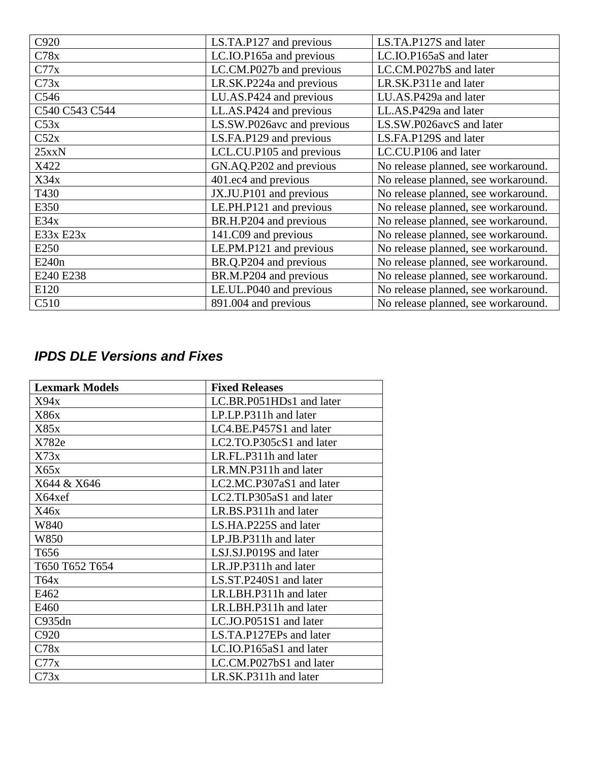| C920              | LS.TA.P127 and previous    | LS.TA.P127S and later               |
|-------------------|----------------------------|-------------------------------------|
| C78x              | LC.IO.P165a and previous   | LC.IO.P165aS and later              |
| C77x              | LC.CM.P027b and previous   | LC.CM.P027bS and later              |
| C73x              | LR.SK.P224a and previous   | LR.SK.P311e and later               |
| C546              | LU.AS.P424 and previous    | LU.AS.P429a and later               |
| C540 C543 C544    | LL.AS.P424 and previous    | LL.AS.P429a and later               |
| C53x              | LS.SW.P026avc and previous | LS.SW.P026avcS and later            |
| C52x              | LS.FA.P129 and previous    | LS.FA.P129S and later               |
| 25xxN             | LCL.CU.P105 and previous   | LC.CU.P106 and later                |
| X422              | GN.AQ.P202 and previous    | No release planned, see workaround. |
| X34x              | 401.ec4 and previous       | No release planned, see workaround. |
| T430              | JX.JU.P101 and previous    | No release planned, see workaround. |
| E350              | LE.PH.P121 and previous    | No release planned, see workaround. |
| E34x              | BR.H.P204 and previous     | No release planned, see workaround. |
| E33x E23x         | 141.C09 and previous       | No release planned, see workaround. |
| E250              | LE.PM.P121 and previous    | No release planned, see workaround. |
| E240 <sub>n</sub> | BR.Q.P204 and previous     | No release planned, see workaround. |
| E240 E238         | BR.M.P204 and previous     | No release planned, see workaround. |
| E120              | LE.UL.P040 and previous    | No release planned, see workaround. |
| C <sub>510</sub>  | 891.004 and previous       | No release planned, see workaround. |

# *IPDS DLE Versions and Fixes*

| <b>Lexmark Models</b> | <b>Fixed Releases</b>    |
|-----------------------|--------------------------|
| X94x                  | LC.BR.P051HDs1 and later |
| X86x                  | LP.LP.P311h and later    |
| X85x                  | LC4.BE.P457S1 and later  |
| X782e                 | LC2.TO.P305cS1 and later |
| X73x                  | LR.FL.P311h and later    |
| X65x                  | LR.MN.P311h and later    |
| X644 & X646           | LC2.MC.P307aS1 and later |
| X64xef                | LC2.TI.P305aS1 and later |
| X46x                  | LR.BS.P311h and later    |
| W840                  | LS.HA.P225S and later    |
| W850                  | LP.JB.P311h and later    |
| T <sub>656</sub>      | LSJ.SJ.P019S and later   |
| T650 T652 T654        | LR.JP.P311h and later    |
| T64x                  | LS.ST.P240S1 and later   |
| E462                  | LR.LBH.P311h and later   |
| E460                  | LR.LBH.P311h and later   |
| C935dn                | LC.JO.P051S1 and later   |
| C920                  | LS.TA.P127EPs and later  |
| C78x                  | LC.IO.P165aS1 and later  |
| C77x                  | LC.CM.P027bS1 and later  |
| C73x                  | LR.SK.P311h and later    |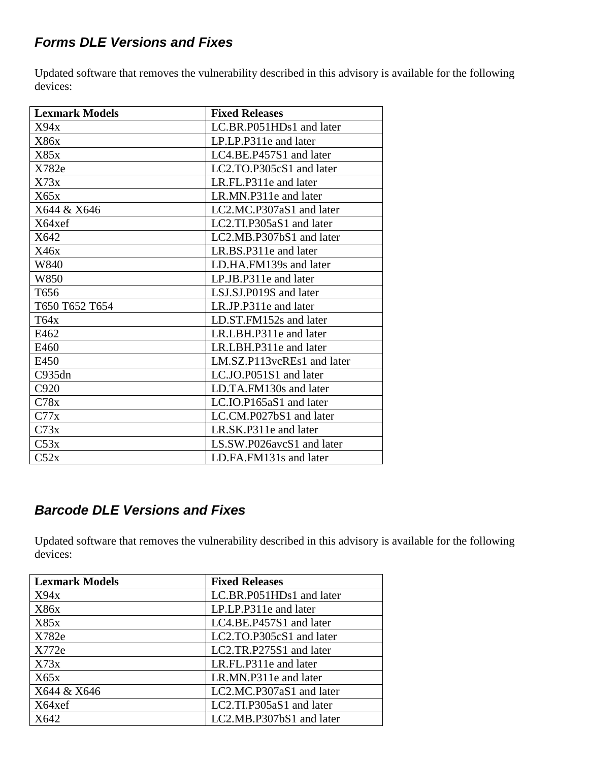### *Forms DLE Versions and Fixes*

Updated software that removes the vulnerability described in this advisory is available for the following devices:

| <b>Lexmark Models</b> | <b>Fixed Releases</b>      |
|-----------------------|----------------------------|
| X94x                  | LC.BR.P051HDs1 and later   |
| X86x                  | LP.LP.P311e and later      |
| X85x                  | LC4.BE.P457S1 and later    |
| X782e                 | $LC2.TO.P305cS1$ and later |
| X73x                  | LR.FL.P311e and later      |
| X65x                  | LR.MN.P311e and later      |
| X644 & X646           | LC2.MC.P307aS1 and later   |
| X64xef                | LC2.TI.P305aS1 and later   |
| X642                  | LC2.MB.P307bS1 and later   |
| X46x                  | LR.BS.P311e and later      |
| W840                  | LD.HA.FM139s and later     |
| W850                  | LP.JB.P311e and later      |
| T <sub>656</sub>      | LSJ.SJ.P019S and later     |
| T650 T652 T654        | LR.JP.P311e and later      |
| T64x                  | LD.ST.FM152s and later     |
| E462                  | LR.LBH.P311e and later     |
| E460                  | LR.LBH.P311e and later     |
| E450                  | LM.SZ.P113vcREs1 and later |
| C935dn                | LC.JO.P051S1 and later     |
| C920                  | LD.TA.FM130s and later     |
| C78x                  | $LC.IO.P165aS1$ and later  |
| C77x                  | LC.CM.P027bS1 and later    |
| C73x                  | LR.SK.P311e and later      |
| C53x                  | LS.SW.P026avcS1 and later  |
| C52x                  | LD.FA.FM131s and later     |

## *Barcode DLE Versions and Fixes*

Updated software that removes the vulnerability described in this advisory is available for the following devices:

| <b>Lexmark Models</b> | <b>Fixed Releases</b>    |
|-----------------------|--------------------------|
| X94x                  | LC.BR.P051HDs1 and later |
| X86x                  | LP.LP.P311e and later    |
| X85x                  | LC4.BE.P457S1 and later  |
| X782e                 | LC2.TO.P305cS1 and later |
| X772e                 | LC2.TR.P275S1 and later  |
| X73x                  | LR.FL.P311e and later    |
| X65x                  | LR.MN.P311e and later    |
| X644 & X646           | LC2.MC.P307aS1 and later |
| X64xef                | LC2.TI.P305aS1 and later |
| X642                  | LC2.MB.P307bS1 and later |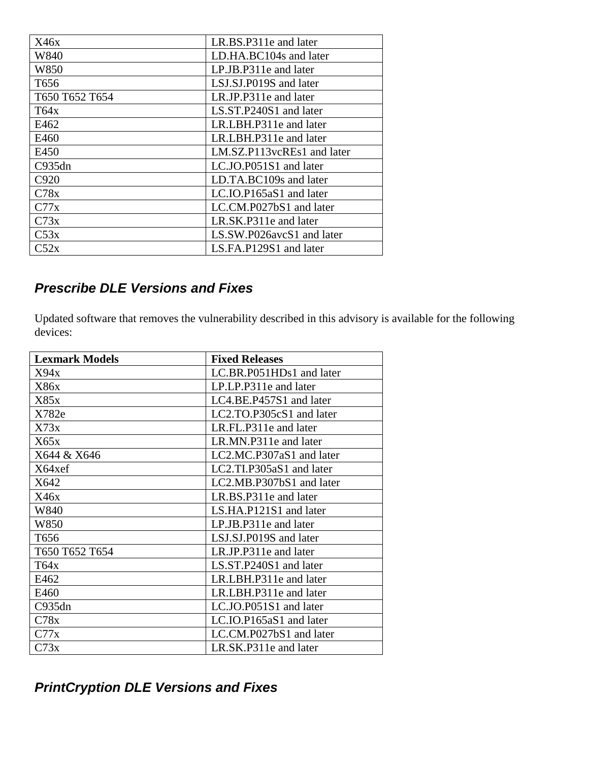| X46x             | LR.BS.P311e and later        |
|------------------|------------------------------|
| W840             | LD.HA.BC104s and later       |
| W850             | LP.JB.P311e and later        |
| T <sub>656</sub> | LSJ.SJ.P019S and later       |
| T650 T652 T654   | LR.JP.P311e and later        |
| T64x             | LS.ST.P240S1 and later       |
| E462             | LR.LBH.P311e and later       |
| E460             | LR.LBH.P311e and later       |
| E450             | LM.SZ.P113vcREs1 and later   |
| C935dn           | LC.JO.P051S1 and later       |
| C920             | LD.TA.BC109s and later       |
| C78x             | $LC$ . IO. P165aS1 and later |
| C77x             | LC.CM.P027bS1 and later      |
| C73x             | LR.SK.P311e and later        |
| C53x             | LS.SW.P026avcS1 and later    |
| $\mathbb{C}52x$  | LS.FA.P129S1 and later       |

## *Prescribe DLE Versions and Fixes*

Updated software that removes the vulnerability described in this advisory is available for the following devices:

| <b>Lexmark Models</b> | <b>Fixed Releases</b>    |
|-----------------------|--------------------------|
| X94x                  | LC.BR.P051HDs1 and later |
| X86x                  | LP.LP.P311e and later    |
| X85x                  | LC4.BE.P457S1 and later  |
| X782e                 | LC2.TO.P305cS1 and later |
| X73x                  | LR.FL.P311e and later    |
| X65x                  | LR.MN.P311e and later    |
| X644 & X646           | LC2.MC.P307aS1 and later |
| X64xef                | LC2.TI.P305aS1 and later |
| X642                  | LC2.MB.P307bS1 and later |
| X46x                  | LR.BS.P311e and later    |
| W840                  | LS.HA.P121S1 and later   |
| W850                  | LP.JB.P311e and later    |
| T <sub>656</sub>      | LSJ.SJ.P019S and later   |
| T650 T652 T654        | LR.JP.P311e and later    |
| T64x                  | LS.ST.P240S1 and later   |
| E462                  | LR.LBH.P311e and later   |
| E460                  | LR.LBH.P311e and later   |
| C935dn                | LC.JO.P051S1 and later   |
| C78x                  | LC.IO.P165aS1 and later  |
| C77x                  | LC.CM.P027bS1 and later  |
| C73x                  | LR.SK.P311e and later    |

# *PrintCryption DLE Versions and Fixes*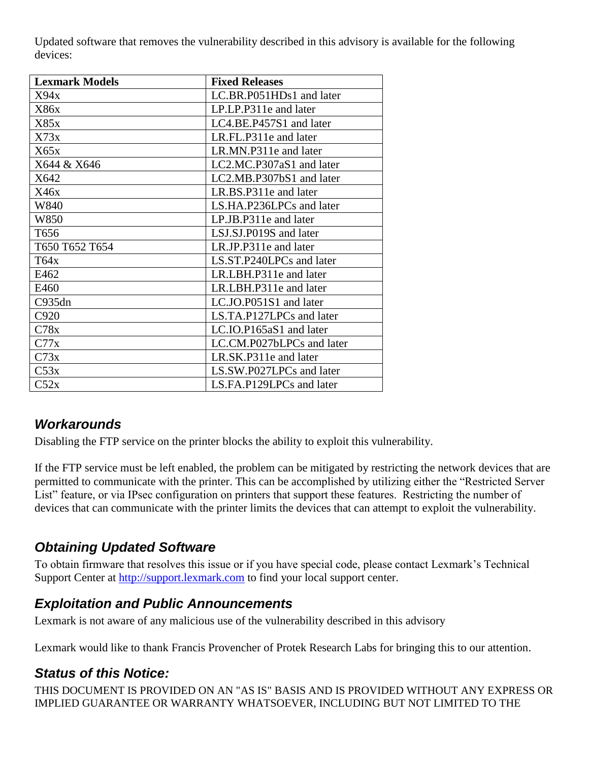Updated software that removes the vulnerability described in this advisory is available for the following devices:

| <b>Lexmark Models</b> | <b>Fixed Releases</b>     |
|-----------------------|---------------------------|
| X94x                  | LC.BR.P051HDs1 and later  |
| X86x                  | LP.LP.P311e and later     |
| X85x                  | LC4.BE.P457S1 and later   |
| X73x                  | LR.FL.P311e and later     |
| X65x                  | LR.MN.P311e and later     |
| X644 & X646           | LC2.MC.P307aS1 and later  |
| X642                  | LC2.MB.P307bS1 and later  |
| X46x                  | LR.BS.P311e and later     |
| W840                  | LS.HA.P236LPCs and later  |
| W850                  | LP.JB.P311e and later     |
| T <sub>656</sub>      | LSJ.SJ.P019S and later    |
| T650 T652 T654        | LR.JP.P311e and later     |
| T64x                  | LS.ST.P240LPCs and later  |
| E462                  | LR.LBH.P311e and later    |
| E460                  | LR.LBH.P311e and later    |
| C935dn                | LC.JO.P051S1 and later    |
| C920                  | LS.TA.P127LPCs and later  |
| C78x                  | LC.IO.P165aS1 and later   |
| C77x                  | LC.CM.P027bLPCs and later |
| C73x                  | LR.SK.P311e and later     |
| C53x                  | LS.SW.P027LPCs and later  |
| C52x                  | LS.FA.P129LPCs and later  |

# *Workarounds*

Disabling the FTP service on the printer blocks the ability to exploit this vulnerability.

If the FTP service must be left enabled, the problem can be mitigated by restricting the network devices that are permitted to communicate with the printer. This can be accomplished by utilizing either the "Restricted Server List" feature, or via IPsec configuration on printers that support these features. Restricting the number of devices that can communicate with the printer limits the devices that can attempt to exploit the vulnerability.

### *Obtaining Updated Software*

To obtain firmware that resolves this issue or if you have special code, please contact Lexmark's Technical Support Center at [http://support.lexmark.com](http://support.lexmark.com/) to find your local support center.

#### *Exploitation and Public Announcements*

Lexmark is not aware of any malicious use of the vulnerability described in this advisory

Lexmark would like to thank Francis Provencher of Protek Research Labs for bringing this to our attention.

### *Status of this Notice:*

THIS DOCUMENT IS PROVIDED ON AN "AS IS" BASIS AND IS PROVIDED WITHOUT ANY EXPRESS OR IMPLIED GUARANTEE OR WARRANTY WHATSOEVER, INCLUDING BUT NOT LIMITED TO THE